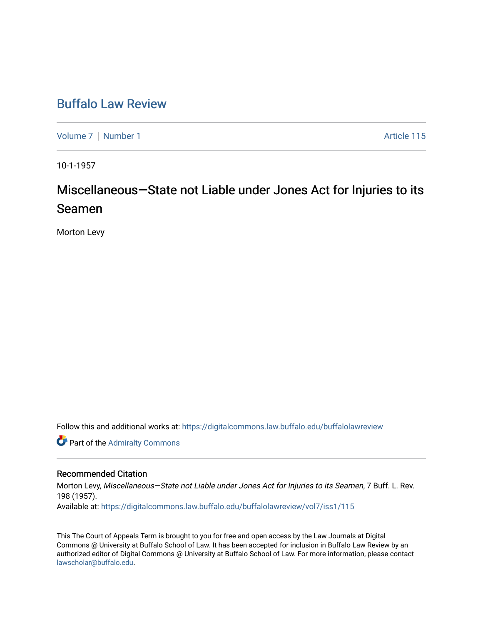# [Buffalo Law Review](https://digitalcommons.law.buffalo.edu/buffalolawreview)

[Volume 7](https://digitalcommons.law.buffalo.edu/buffalolawreview/vol7) | [Number 1](https://digitalcommons.law.buffalo.edu/buffalolawreview/vol7/iss1) Article 115

10-1-1957

# Miscellaneous—State not Liable under Jones Act for Injuries to its Seamen

Morton Levy

Follow this and additional works at: [https://digitalcommons.law.buffalo.edu/buffalolawreview](https://digitalcommons.law.buffalo.edu/buffalolawreview?utm_source=digitalcommons.law.buffalo.edu%2Fbuffalolawreview%2Fvol7%2Fiss1%2F115&utm_medium=PDF&utm_campaign=PDFCoverPages) 

**Part of the [Admiralty Commons](http://network.bepress.com/hgg/discipline/580?utm_source=digitalcommons.law.buffalo.edu%2Fbuffalolawreview%2Fvol7%2Fiss1%2F115&utm_medium=PDF&utm_campaign=PDFCoverPages)** 

# Recommended Citation

Morton Levy, Miscellaneous-State not Liable under Jones Act for Injuries to its Seamen, 7 Buff. L. Rev. 198 (1957). Available at: [https://digitalcommons.law.buffalo.edu/buffalolawreview/vol7/iss1/115](https://digitalcommons.law.buffalo.edu/buffalolawreview/vol7/iss1/115?utm_source=digitalcommons.law.buffalo.edu%2Fbuffalolawreview%2Fvol7%2Fiss1%2F115&utm_medium=PDF&utm_campaign=PDFCoverPages)

This The Court of Appeals Term is brought to you for free and open access by the Law Journals at Digital Commons @ University at Buffalo School of Law. It has been accepted for inclusion in Buffalo Law Review by an authorized editor of Digital Commons @ University at Buffalo School of Law. For more information, please contact [lawscholar@buffalo.edu](mailto:lawscholar@buffalo.edu).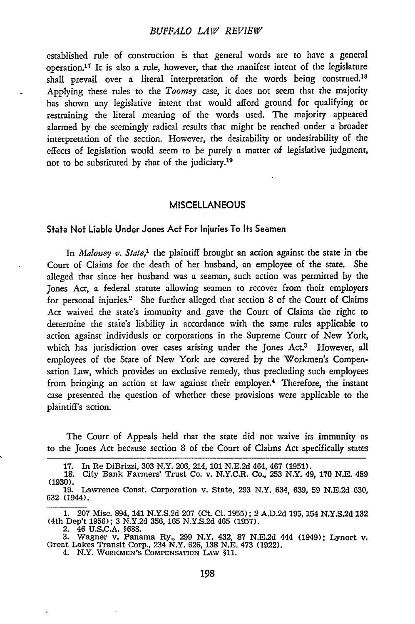## *BUFFALO LAW REVIEW*

established rule of construction is that general words are to have a general operation. 17 It is also a rule, however, that the manifest intent of the legislature shall prevail over a literal interpretation of the words being construed.<sup>18</sup> Applying these rules to the *Toomey* case, it does not seem that the majority has shown any legislative intent that would afford ground for qualifying or restraining the literal meaning of the words used. The majority appeared alarmed by the seemingly radical results that might be reached under a broader interpretation of the section. However, the desirability or undesirability of the effects of legislation would seem to be purely a matter of legislative judgment, not to be substituted by that of the judiciary.<sup>19</sup>

#### **MISCELLANEOUS**

#### State Not Liable Under Jones Act For Injuries To Its Seamen

*In Maloney v. State,'* the plaintiff brought an action against the state in the Court of Claims for the death of her husband, an employee of the state. She alleged that since her husband was a seaman, such action was permitted by the Jones Act, a federal statute allowing seamen to recover from their employers for personal injuries.<sup>2</sup> She further alleged that section 8 of the Court of Claims Act waived the state's immunity and gave the Court of Claims the right to determine the state's liability in accordance with the same rules applicable to action against individuals or corporations in the Supreme Court of New York, which has jurisdiction over cases arising under the Jones Act.<sup>3</sup> However, all employees of the State of New York are covered by the Workmen's Compensation Law, which provides an exclusive remedy, thus precluding such employees from bringing an action at law against their employer.<sup>4</sup> Therefore, the instant case presented the question of whether these provisions were applicable to the plaintiff's action.

The Court of Appeals held that the state did not waive its immunity as to the Jones Act because section 8 of the Court of Claims Act specifically states

**<sup>17.</sup>** In Re DiBrizzi, **303** N.Y. 206, 214, **101** N.E.2d 464, 467 **(1951). 18.** City Bank Farmers' Trust Co. v. N.Y.C.R. Co., 253 N.Y. 49, **170** N.E. 489 (1930).

**<sup>19.</sup>** Lawrence Const. Corporation v. State, 293 N.Y. 634, 639, 59 N.E.2d 630, 632 (1944).

**<sup>1.</sup>** 207 Misc. 894, 141 N.Y.S.2d 207 (Ct. **C1.** 1955); 2 A.D.2d 195, 154 N.Y.S.2d 132 (4th Dep't 1956); 3 N.Y.2d 356, 165 N.Y.S.2d 465 (1957).

<sup>2. 46</sup> U.S.C.A. §688. 3. Wagner v. Panama Ry., 299 N.Y. 432, 87 N.E.2d 444 (1949): Lynort v. Great Lakes Transit Corp., 234 N.Y. 626, 138 N.E. 473 (1922). 4. N.Y. WORKMEN'S COMPENSATION LAw **§11.**